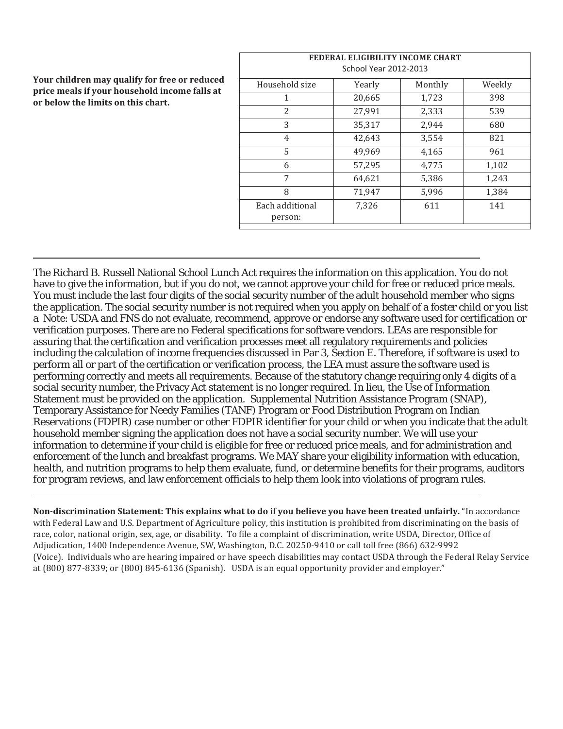**Your children may qualify for free or reduced price meals if your household income falls at or below the limits on this chart.** 

| FEDERAL ELIGIBILITY INCOME CHART<br><b>School Year 2012-2013</b> |        |         |        |  |  |  |  |  |  |
|------------------------------------------------------------------|--------|---------|--------|--|--|--|--|--|--|
| Household size                                                   | Yearly | Monthly | Weekly |  |  |  |  |  |  |
| 1                                                                | 20,665 | 1,723   | 398    |  |  |  |  |  |  |
| 2                                                                | 27,991 | 2,333   | 539    |  |  |  |  |  |  |
| 3                                                                | 35,317 | 2,944   | 680    |  |  |  |  |  |  |
| 4                                                                | 42,643 | 3,554   | 821    |  |  |  |  |  |  |
| 5                                                                | 49,969 | 4,165   | 961    |  |  |  |  |  |  |
| 6                                                                | 57,295 | 4,775   | 1,102  |  |  |  |  |  |  |
| 7                                                                | 64,621 | 5,386   | 1,243  |  |  |  |  |  |  |
| 8                                                                | 71,947 | 5,996   | 1,384  |  |  |  |  |  |  |
| Each additional<br>person:                                       | 7,326  | 611     | 141    |  |  |  |  |  |  |

The Richard B. Russell National School Lunch Act requires the information on this application. You do not have to give the information, but if you do not, we cannot approve your child for free or reduced price meals. You must include the last four digits of the social security number of the adult household member who signs the application. The social security number is not required when you apply on behalf of a foster child or you list a Note: USDA and FNS do not evaluate, recommend, approve or endorse any software used for certification or verification purposes. There are no Federal specifications for software vendors. LEAs are responsible for assuring that the certification and verification processes meet all regulatory requirements and policies including the calculation of income frequencies discussed in Par 3, Section E. Therefore, if software is used to perform all or part of the certification or verification process, the LEA must assure the software used is performing correctly and meets all requirements. Because of the statutory change requiring only 4 digits of a social security number, the Privacy Act statement is no longer required. In lieu, the Use of Information Statement must be provided on the application. Supplemental Nutrition Assistance Program (SNAP), Temporary Assistance for Needy Families (TANF) Program or Food Distribution Program on Indian Reservations (FDPIR) case number or other FDPIR identifier for your child or when you indicate that the adult household member signing the application does not have a social security number. We will use your information to determine if your child is eligible for free or reduced price meals, and for administration and enforcement of the lunch and breakfast programs. We MAY share your eligibility information with education, health, and nutrition programs to help them evaluate, fund, or determine benefits for their programs, auditors for program reviews, and law enforcement officials to help them look into violations of program rules.

**Non-discrimination Statement: This explains what to do if you believe you have been treated unfairly.** "In accordance with Federal Law and U.S. Department of Agriculture policy, this institution is prohibited from discriminating on the basis of race, color, national origin, sex, age, or disability. To file a complaint of discrimination, write USDA, Director, Office of Adjudication, 1400 Independence Avenue, SW, Washington, D.C. 20250-9410 or call toll free (866) 632-9992 (Voice). Individuals who are hearing impaired or have speech disabilities may contact USDA through the Federal Relay Service at (800) 877-8339; or (800) 845-6136 (Spanish). USDA is an equal opportunity provider and employer."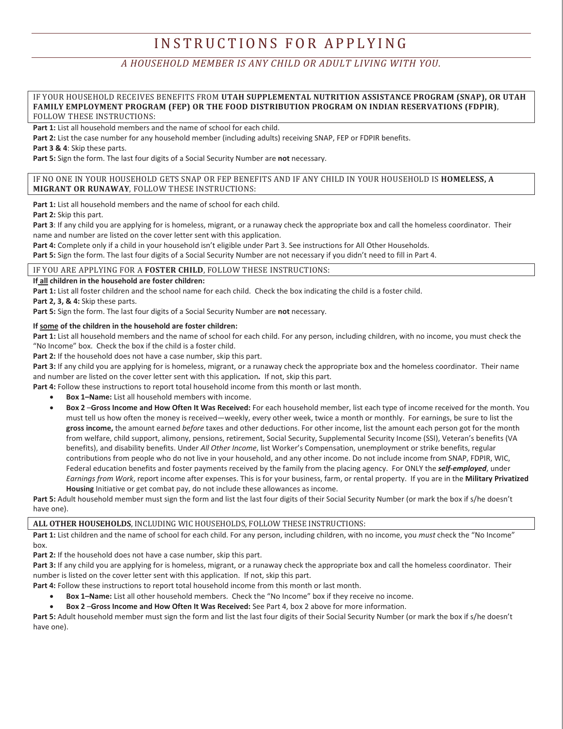# INSTRUCTIONS FOR APPLYING

### *A HOUSEHOLD MEMBER IS ANY CHILD OR ADULT LIVING WITH YOU.*

#### IF YOUR HOUSEHOLD RECEIVES BENEFITS FROM **UTAH SUPPLEMENTAL NUTRITION ASSISTANCE PROGRAM (SNAP), OR UTAH FAMILY EMPLOYMENT PROGRAM (FEP) OR THE FOOD DISTRIBUTION PROGRAM ON INDIAN RESERVATIONS (FDPIR)**, FOLLOW THESE INSTRUCTIONS:

Part 1: List all household members and the name of school for each child.

**Part 2:** List the case number for any household member (including adults) receiving SNAP, FEP or FDPIR benefits.

**Part 3 & 4**: Skip these parts.

**Part 5:** Sign the form. The last four digits of a Social Security Number are **not** necessary.

#### IF NO ONE IN YOUR HOUSEHOLD GETS SNAP OR FEP BENEFITS AND IF ANY CHILD IN YOUR HOUSEHOLD IS **HOMELESS, A MIGRANT OR RUNAWAY**, FOLLOW THESE INSTRUCTIONS:

**Part 1:** List all household members and the name of school for each child.

**Part 2:** Skip this part.

**Part 3**: If any child you are applying for is homeless, migrant, or a runaway check the appropriate box and call the homeless coordinator. Their name and number are listed on the cover letter sent with this application.

**Part 4:** Complete only if a child in your household isn't eligible under Part 3. See instructions for All Other Households.

**Part 5:** Sign the form. The last four digits of a Social Security Number are not necessary if you didn't need to fill in Part 4.

#### IF YOU ARE APPLYING FOR A **FOSTER CHILD**, FOLLOW THESE INSTRUCTIONS:

**If all children in the household are foster children:** 

**Part 1:** List all foster children and the school name for each child. Check the box indicating the child is a foster child.

**Part 2, 3, & 4:** Skip these parts.

**Part 5:** Sign the form. The last four digits of a Social Security Number are **not** necessary.

#### **If some of the children in the household are foster children:**

Part 1: List all household members and the name of school for each child. For any person, including children, with no income, you must check the "No Income" box. Check the box if the child is a foster child.

**Part 2:** If the household does not have a case number, skip this part.

**Part 3:** If any child you are applying for is homeless, migrant, or a runaway check the appropriate box and the homeless coordinator. Their name and number are listed on the cover letter sent with this application**.** If not, skip this part.

**Part 4:** Follow these instructions to report total household income from this month or last month.

- x **Box 1–Name:** List all household members with income.
- x **Box 2** –**Gross Income and How Often It Was Received:** For each household member, list each type of income received for the month. You must tell us how often the money is received—weekly, every other week, twice a month or monthly. For earnings, be sure to list the **gross income,** the amount earned *before* taxes and other deductions. For other income, list the amount each person got for the month from welfare, child support, alimony, pensions, retirement, Social Security, Supplemental Security Income (SSI), Veteran's benefits (VA benefits), and disability benefits. Under *All Other Income*, list Worker's Compensation, unemployment or strike benefits, regular contributions from people who do not live in your household, and any other income. Do not include income from SNAP, FDPIR, WIC, Federal education benefits and foster payments received by the family from the placing agency. For ONLY the *self-employed*, under *Earnings from Work*, report income after expenses. This is for your business, farm, or rental property. If you are in the **Military Privatized Housing** Initiative or get combat pay, do not include these allowances as income.

Part 5: Adult household member must sign the form and list the last four digits of their Social Security Number (or mark the box if s/he doesn't have one).

#### **ALL OTHER HOUSEHOLDS**, INCLUDING WIC HOUSEHOLDS, FOLLOW THESE INSTRUCTIONS:

**Part 1:** List children and the name of school for each child. For any person, including children, with no income, you *must* check the "No Income" box.

**Part 2:** If the household does not have a case number, skip this part.

**Part 3:** If any child you are applying for is homeless, migrant, or a runaway check the appropriate box and call the homeless coordinator. Their number is listed on the cover letter sent with this application.If not, skip this part.

Part 4: Follow these instructions to report total household income from this month or last month.

- x **Box 1–Name:** List all other household members. Check the "No Income" box if they receive no income.
- x **Box 2** –**Gross Income and How Often It Was Received:** See Part 4, box 2 above for more information.

Part 5: Adult household member must sign the form and list the last four digits of their Social Security Number (or mark the box if s/he doesn't have one).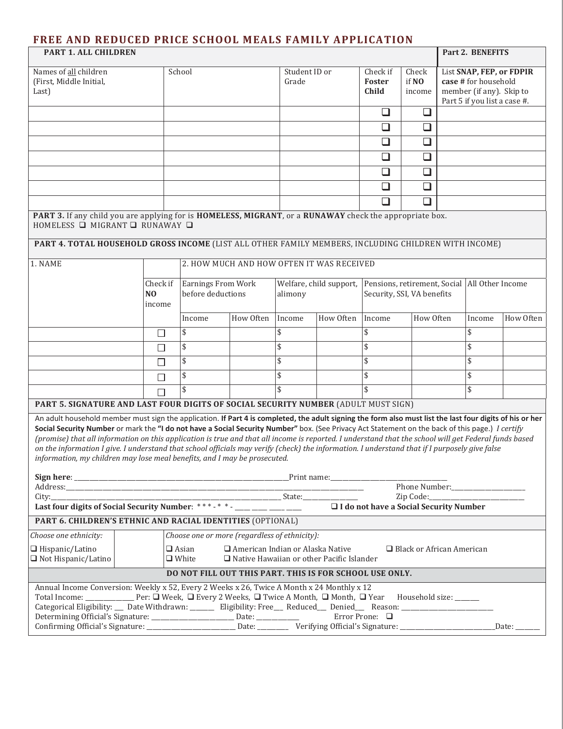## **FREE AND REDUCED PRICE SCHOOL MEALS FAMILY APPLICATION**

| PART 1. ALL CHILDREN                                                                                                                                                                                                                                                                                                                                                                                                                                                                                                                                                                                                                                                                                 |                                                                        |                                           |           |                                    |           |                             |                          |                                               | Part 2. BENEFITS                                                                                             |           |  |  |
|------------------------------------------------------------------------------------------------------------------------------------------------------------------------------------------------------------------------------------------------------------------------------------------------------------------------------------------------------------------------------------------------------------------------------------------------------------------------------------------------------------------------------------------------------------------------------------------------------------------------------------------------------------------------------------------------------|------------------------------------------------------------------------|-------------------------------------------|-----------|------------------------------------|-----------|-----------------------------|--------------------------|-----------------------------------------------|--------------------------------------------------------------------------------------------------------------|-----------|--|--|
| Names of all children<br>(First, Middle Initial,<br>Last)                                                                                                                                                                                                                                                                                                                                                                                                                                                                                                                                                                                                                                            | School                                                                 |                                           |           | Student ID or<br>Grade             |           | Check if<br>Foster<br>Child | Check<br>if NO<br>income |                                               | List SNAP, FEP, or FDPIR<br>case # for household<br>member (if any). Skip to<br>Part 5 if you list a case #. |           |  |  |
|                                                                                                                                                                                                                                                                                                                                                                                                                                                                                                                                                                                                                                                                                                      |                                                                        |                                           |           |                                    |           | ❏                           | ❏                        |                                               |                                                                                                              |           |  |  |
|                                                                                                                                                                                                                                                                                                                                                                                                                                                                                                                                                                                                                                                                                                      |                                                                        |                                           |           |                                    |           | ❏                           | ❏                        |                                               |                                                                                                              |           |  |  |
|                                                                                                                                                                                                                                                                                                                                                                                                                                                                                                                                                                                                                                                                                                      |                                                                        |                                           |           |                                    |           | ❏                           | $\Box$                   |                                               |                                                                                                              |           |  |  |
|                                                                                                                                                                                                                                                                                                                                                                                                                                                                                                                                                                                                                                                                                                      |                                                                        |                                           |           |                                    |           | ❏                           | ❏                        |                                               |                                                                                                              |           |  |  |
|                                                                                                                                                                                                                                                                                                                                                                                                                                                                                                                                                                                                                                                                                                      |                                                                        |                                           |           |                                    |           | ❏                           | $\Box$                   |                                               |                                                                                                              |           |  |  |
|                                                                                                                                                                                                                                                                                                                                                                                                                                                                                                                                                                                                                                                                                                      |                                                                        |                                           |           |                                    |           | $\Box$                      | ❏                        |                                               |                                                                                                              |           |  |  |
|                                                                                                                                                                                                                                                                                                                                                                                                                                                                                                                                                                                                                                                                                                      |                                                                        |                                           |           |                                    |           | □                           | ❏                        |                                               |                                                                                                              |           |  |  |
| PART 3. If any child you are applying for is HOMELESS, MIGRANT, or a RUNAWAY check the appropriate box.<br>HOMELESS □ MIGRANT □ RUNAWAY □                                                                                                                                                                                                                                                                                                                                                                                                                                                                                                                                                            |                                                                        |                                           |           |                                    |           |                             |                          |                                               |                                                                                                              |           |  |  |
| PART 4. TOTAL HOUSEHOLD GROSS INCOME (LIST ALL OTHER FAMILY MEMBERS, INCLUDING CHILDREN WITH INCOME)                                                                                                                                                                                                                                                                                                                                                                                                                                                                                                                                                                                                 |                                                                        |                                           |           |                                    |           |                             |                          |                                               |                                                                                                              |           |  |  |
| 1. NAME                                                                                                                                                                                                                                                                                                                                                                                                                                                                                                                                                                                                                                                                                              |                                                                        | 2. HOW MUCH AND HOW OFTEN IT WAS RECEIVED |           |                                    |           |                             |                          |                                               |                                                                                                              |           |  |  |
|                                                                                                                                                                                                                                                                                                                                                                                                                                                                                                                                                                                                                                                                                                      | Check if<br>N <sub>O</sub><br>income                                   | Earnings From Work<br>before deductions   |           | Welfare, child support,<br>alimony |           | Security, SSI, VA benefits  |                          | Pensions, retirement, Social All Other Income |                                                                                                              |           |  |  |
|                                                                                                                                                                                                                                                                                                                                                                                                                                                                                                                                                                                                                                                                                                      |                                                                        | Income                                    | How Often | Income                             | How Often | Income                      | How Often                |                                               | Income                                                                                                       | How Often |  |  |
|                                                                                                                                                                                                                                                                                                                                                                                                                                                                                                                                                                                                                                                                                                      | П                                                                      | \$                                        |           | \$                                 |           | \$                          |                          |                                               | \$                                                                                                           |           |  |  |
|                                                                                                                                                                                                                                                                                                                                                                                                                                                                                                                                                                                                                                                                                                      | □                                                                      | \$                                        |           | \$                                 |           | \$                          |                          |                                               | \$                                                                                                           |           |  |  |
|                                                                                                                                                                                                                                                                                                                                                                                                                                                                                                                                                                                                                                                                                                      | $\mathsf{L}$                                                           | \$                                        |           | \$                                 |           | \$                          |                          |                                               | \$                                                                                                           |           |  |  |
|                                                                                                                                                                                                                                                                                                                                                                                                                                                                                                                                                                                                                                                                                                      | П                                                                      | \$                                        |           | \$                                 |           | \$                          |                          |                                               | \$                                                                                                           |           |  |  |
|                                                                                                                                                                                                                                                                                                                                                                                                                                                                                                                                                                                                                                                                                                      | П                                                                      | \$                                        |           | \$                                 |           | \$                          |                          |                                               | \$                                                                                                           |           |  |  |
| PART 5. SIGNATURE AND LAST FOUR DIGITS OF SOCIAL SECURITY NUMBER (ADULT MUST SIGN)                                                                                                                                                                                                                                                                                                                                                                                                                                                                                                                                                                                                                   |                                                                        |                                           |           |                                    |           |                             |                          |                                               |                                                                                                              |           |  |  |
| An adult household member must sign the application. If Part 4 is completed, the adult signing the form also must list the last four digits of his or her<br>Social Security Number or mark the "I do not have a Social Security Number" box. (See Privacy Act Statement on the back of this page.) I certify<br>(promise) that all information on this application is true and that all income is reported. I understand that the school will get Federal funds based<br>on the information I give. I understand that school officials may verify (check) the information. I understand that if I purposely give false<br>information, my children may lose meal benefits, and I may be prosecuted. |                                                                        |                                           |           |                                    |           |                             |                          |                                               |                                                                                                              |           |  |  |
|                                                                                                                                                                                                                                                                                                                                                                                                                                                                                                                                                                                                                                                                                                      |                                                                        |                                           |           |                                    |           |                             |                          |                                               |                                                                                                              |           |  |  |
|                                                                                                                                                                                                                                                                                                                                                                                                                                                                                                                                                                                                                                                                                                      | Phone Number:                                                          |                                           |           |                                    |           |                             |                          |                                               |                                                                                                              |           |  |  |
| □ I do not have a Social Security Number                                                                                                                                                                                                                                                                                                                                                                                                                                                                                                                                                                                                                                                             |                                                                        |                                           |           |                                    |           |                             |                          |                                               |                                                                                                              |           |  |  |
| PART 6. CHILDREN'S ETHNIC AND RACIAL IDENTITIES (OPTIONAL)                                                                                                                                                                                                                                                                                                                                                                                                                                                                                                                                                                                                                                           |                                                                        |                                           |           |                                    |           |                             |                          |                                               |                                                                                                              |           |  |  |
|                                                                                                                                                                                                                                                                                                                                                                                                                                                                                                                                                                                                                                                                                                      | Choose one or more (regardless of ethnicity):<br>Choose one ethnicity: |                                           |           |                                    |           |                             |                          |                                               |                                                                                                              |           |  |  |
| $\Box$ Hispanic/Latino<br>$\Box$ Asian<br>$\Box$ American Indian or Alaska Native<br>$\Box$ Black or African American<br>$\Box$ Not Hispanic/Latino<br>$\Box$ Native Hawaiian or other Pacific Islander<br>$\Box$ White                                                                                                                                                                                                                                                                                                                                                                                                                                                                              |                                                                        |                                           |           |                                    |           |                             |                          |                                               |                                                                                                              |           |  |  |
| DO NOT FILL OUT THIS PART. THIS IS FOR SCHOOL USE ONLY.                                                                                                                                                                                                                                                                                                                                                                                                                                                                                                                                                                                                                                              |                                                                        |                                           |           |                                    |           |                             |                          |                                               |                                                                                                              |           |  |  |
| Annual Income Conversion: Weekly x 52, Every 2 Weeks x 26, Twice A Month x 24 Monthly x 12<br>Household size: ______<br>Error Prone: □<br>Determining Official's Signature: ____________________________ Date: ___________<br>Date:                                                                                                                                                                                                                                                                                                                                                                                                                                                                  |                                                                        |                                           |           |                                    |           |                             |                          |                                               |                                                                                                              |           |  |  |